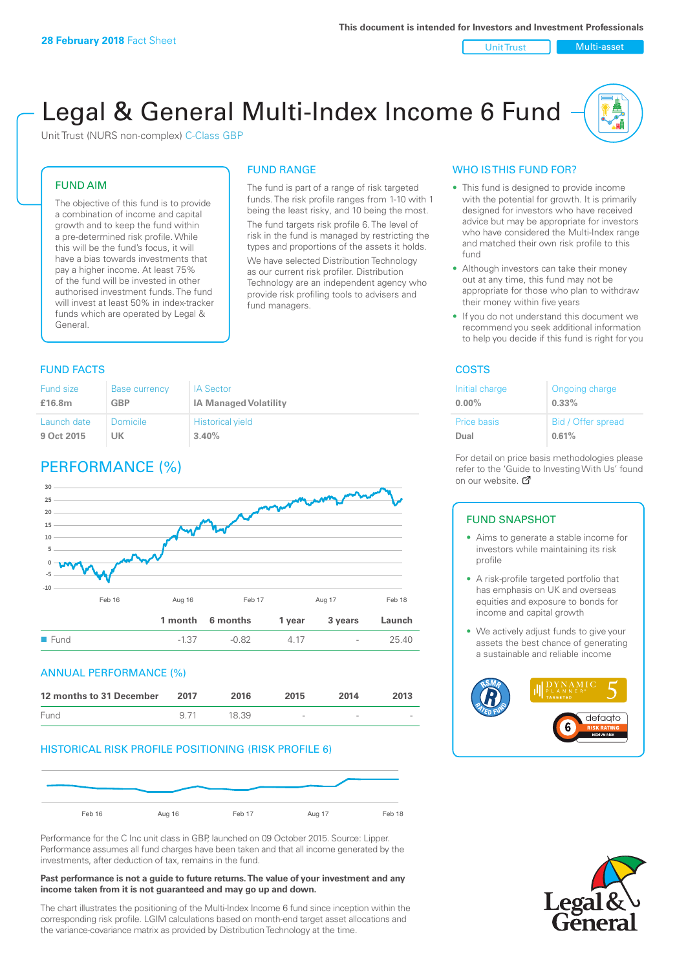Unit Trust | Multi-asset

# Legal & General Multi-Index Income 6 Fund

Unit Trust (NURS non-complex) C-Class GBP

#### FUND AIM

The objective of this fund is to provide a combination of income and capital growth and to keep the fund within a pre-determined risk profile. While this will be the fund's focus, it will have a bias towards investments that pay a higher income. At least 75% of the fund will be invested in other authorised investment funds. The fund will invest at least 50% in index-tracker funds which are operated by Legal & General.

# FUND RANGE

The fund is part of a range of risk targeted funds. The risk profile ranges from 1-10 with 1 being the least risky, and 10 being the most. The fund targets risk profile 6. The level of risk in the fund is managed by restricting the

types and proportions of the assets it holds. We have selected Distribution Technology as our current risk profiler. Distribution Technology are an independent agency who provide risk profiling tools to advisers and fund managers.

#### **FUND FACTS** COSTS

| Fund size   | <b>Base currency</b> | <b>IA Sector</b>             |
|-------------|----------------------|------------------------------|
| £16.8m      | <b>GBP</b>           | <b>IA Managed Volatility</b> |
| Launch date | Domicile             | <b>Historical yield</b>      |
| 9 Oct 2015  | UK                   | 3.40%                        |

# PERFORMANCE (%)



#### ANNUAL PERFORMANCE (%)

| 12 months to 31 December | 2017 | 2016  | 2015   | 2014   | 2013 |
|--------------------------|------|-------|--------|--------|------|
| Fund                     | 9.71 | 18.39 | $\sim$ | $\sim$ |      |

#### HISTORICAL RISK PROFILE POSITIONING (RISK PROFILE 6)



Performance for the C Inc unit class in GBP, launched on 09 October 2015. Source: Lipper. Performance assumes all fund charges have been taken and that all income generated by the investments, after deduction of tax, remains in the fund.

#### **Past performance is not a guide to future returns. The value of your investment and any income taken from it is not guaranteed and may go up and down.**

The chart illustrates the positioning of the Multi-Index Income 6 fund since inception within the corresponding risk profile. LGIM calculations based on month-end target asset allocations and the variance-covariance matrix as provided by Distribution Technology at the time.

#### WHO IS THIS FUND FOR?

- This fund is designed to provide income with the potential for growth. It is primarily designed for investors who have received advice but may be appropriate for investors who have considered the Multi-Index range and matched their own risk profile to this fund
- Although investors can take their money out at any time, this fund may not be appropriate for those who plan to withdraw their money within five years
- If you do not understand this document we recommend you seek additional information to help you decide if this fund is right for you

| Initial charge | Ongoing charge     |
|----------------|--------------------|
| $0.00\%$       | $0.33\%$           |
| Price basis    | Bid / Offer spread |
| Dual           | 0.61%              |

For detail on price basis methodologies please refer to the 'Gu[ide t](http://www.legalandgeneral.com/guide)o Investing With Us' found on our website. Ø

#### FUND SNAPSHOT

- Aims to generate a stable income for investors while maintaining its risk profile
- A risk-profile targeted portfolio that has emphasis on UK and overseas equities and exposure to bonds for income and capital growth
- We actively adjust funds to give your assets the best chance of generating a sustainable and reliable income



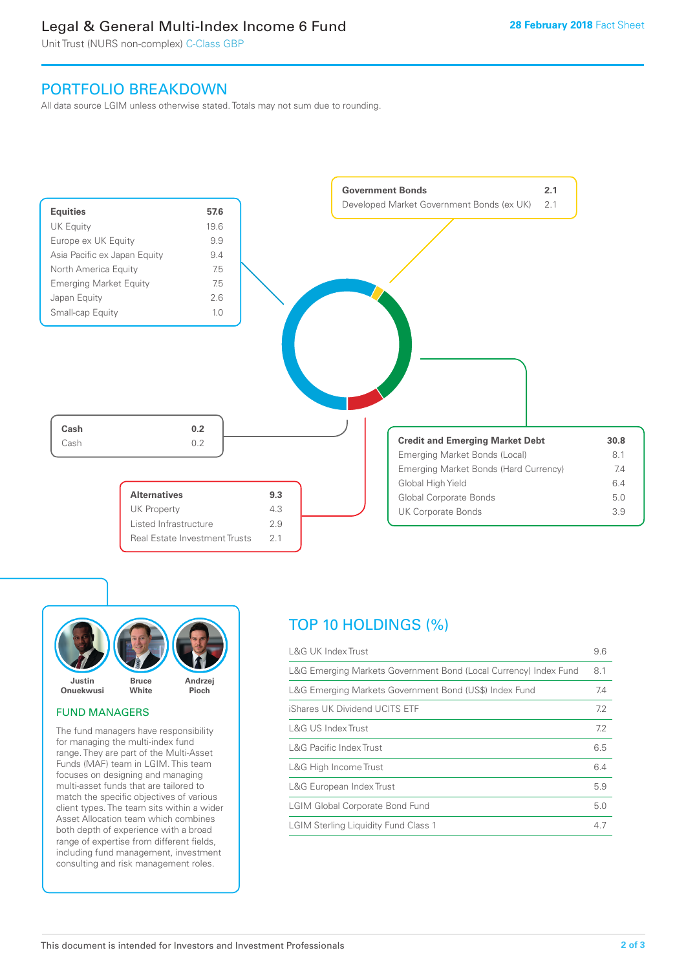# Legal & General Multi-Index Income 6 Fund

Unit Trust (NURS non-complex) C-Class GBP

## PORTFOLIO BREAKDOWN

All data source LGIM unless otherwise stated. Totals may not sum due to rounding.





#### FUND MANAGERS

The fund managers have responsibility for managing the multi-index fund range. They are part of the Multi-Asset Funds (MAF) team in LGIM. This team focuses on designing and managing multi-asset funds that are tailored to match the specific objectives of various client types. The team sits within a wider Asset Allocation team which combines both depth of experience with a broad range of expertise from different fields, including fund management, investment consulting and risk management roles.

# TOP 10 HOLDINGS (%)

| <b>L&amp;G UK Index Trust</b>                                    | 9.6 |
|------------------------------------------------------------------|-----|
| L&G Emerging Markets Government Bond (Local Currency) Index Fund | 8.1 |
| L&G Emerging Markets Government Bond (US\$) Index Fund           | 7.4 |
| iShares UK Dividend UCITS ETF                                    | 7.2 |
| <b>L&amp;G US Index Trust</b>                                    | 7.2 |
| <b>L&amp;G Pacific Index Trust</b>                               | 6.5 |
| L&G High Income Trust                                            | 6.4 |
| L&G European Index Trust                                         | 5.9 |
| <b>LGIM Global Corporate Bond Fund</b>                           | 5.0 |
| <b>LGIM Sterling Liquidity Fund Class 1</b>                      | 4.7 |